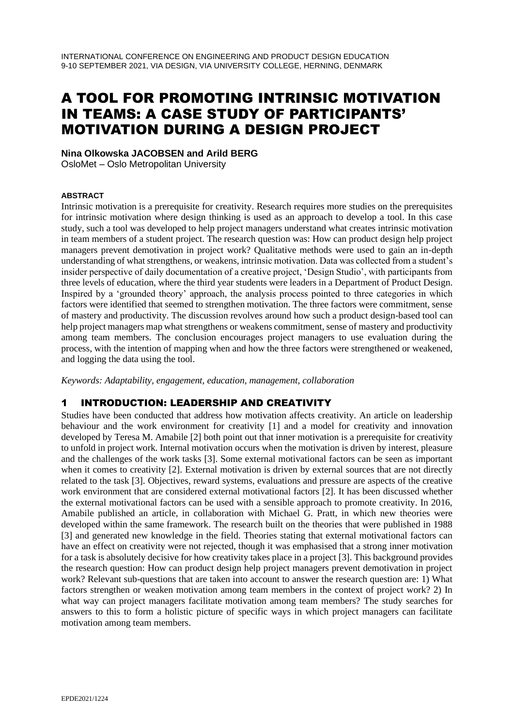# A TOOL FOR PROMOTING INTRINSIC MOTIVATION IN TEAMS: A CASE STUDY OF PARTICIPANTS' MOTIVATION DURING A DESIGN PROJECT

**Nina Olkowska JACOBSEN and Arild BERG**

OsloMet – Oslo Metropolitan University

#### **ABSTRACT**

Intrinsic motivation is a prerequisite for creativity. Research requires more studies on the prerequisites for intrinsic motivation where design thinking is used as an approach to develop a tool. In this case study, such a tool was developed to help project managers understand what creates intrinsic motivation in team members of a student project. The research question was: How can product design help project managers prevent demotivation in project work? Qualitative methods were used to gain an in-depth understanding of what strengthens, or weakens, intrinsic motivation. Data was collected from a student's insider perspective of daily documentation of a creative project, 'Design Studio', with participants from three levels of education, where the third year students were leaders in a Department of Product Design. Inspired by a 'grounded theory' approach, the analysis process pointed to three categories in which factors were identified that seemed to strengthen motivation. The three factors were commitment, sense of mastery and productivity. The discussion revolves around how such a product design-based tool can help project managers map what strengthens or weakens commitment, sense of mastery and productivity among team members. The conclusion encourages project managers to use evaluation during the process, with the intention of mapping when and how the three factors were strengthened or weakened, and logging the data using the tool.

*Keywords: Adaptability, engagement, education, management, collaboration*

# 1 INTRODUCTION: LEADERSHIP AND CREATIVITY

Studies have been conducted that address how motivation affects creativity. An article on leadership behaviour and the work environment for creativity [1] and a model for creativity and innovation developed by Teresa M. Amabile [2] both point out that inner motivation is a prerequisite for creativity to unfold in project work. Internal motivation occurs when the motivation is driven by interest, pleasure and the challenges of the work tasks [3]. Some external motivational factors can be seen as important when it comes to creativity [2]. External motivation is driven by external sources that are not directly related to the task [3]. Objectives, reward systems, evaluations and pressure are aspects of the creative work environment that are considered external motivational factors [2]. It has been discussed whether the external motivational factors can be used with a sensible approach to promote creativity. In 2016, Amabile published an article, in collaboration with Michael G. Pratt, in which new theories were developed within the same framework. The research built on the theories that were published in 1988 [3] and generated new knowledge in the field. Theories stating that external motivational factors can have an effect on creativity were not rejected, though it was emphasised that a strong inner motivation for a task is absolutely decisive for how creativity takes place in a project [3]. This background provides the research question: How can product design help project managers prevent demotivation in project work? Relevant sub-questions that are taken into account to answer the research question are: 1) What factors strengthen or weaken motivation among team members in the context of project work? 2) In what way can project managers facilitate motivation among team members? The study searches for answers to this to form a holistic picture of specific ways in which project managers can facilitate motivation among team members.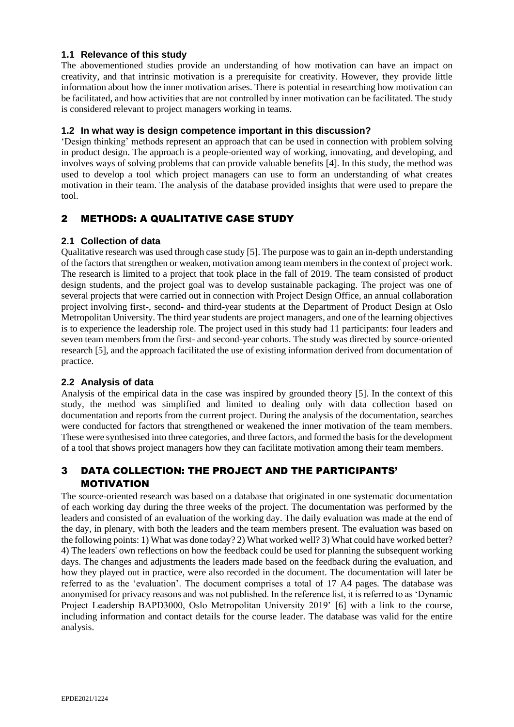### **1.1 Relevance of this study**

The abovementioned studies provide an understanding of how motivation can have an impact on creativity, and that intrinsic motivation is a prerequisite for creativity. However, they provide little information about how the inner motivation arises. There is potential in researching how motivation can be facilitated, and how activities that are not controlled by inner motivation can be facilitated. The study is considered relevant to project managers working in teams.

### **1.2 In what way is design competence important in this discussion?**

'Design thinking' methods represent an approach that can be used in connection with problem solving in product design. The approach is a people-oriented way of working, innovating, and developing, and involves ways of solving problems that can provide valuable benefits [4]. In this study, the method was used to develop a tool which project managers can use to form an understanding of what creates motivation in their team. The analysis of the database provided insights that were used to prepare the tool.

# 2 METHODS: A QUALITATIVE CASE STUDY

### **2.1 Collection of data**

Qualitative research was used through case study [5]. The purpose was to gain an in-depth understanding of the factors that strengthen or weaken, motivation among team members in the context of project work. The research is limited to a project that took place in the fall of 2019. The team consisted of product design students, and the project goal was to develop sustainable packaging. The project was one of several projects that were carried out in connection with Project Design Office, an annual collaboration project involving first-, second- and third-year students at the Department of Product Design at Oslo Metropolitan University. The third year students are project managers, and one of the learning objectives is to experience the leadership role. The project used in this study had 11 participants: four leaders and seven team members from the first- and second-year cohorts. The study was directed by source-oriented research [5], and the approach facilitated the use of existing information derived from documentation of practice.

#### **2.2 Analysis of data**

Analysis of the empirical data in the case was inspired by grounded theory [5]. In the context of this study, the method was simplified and limited to dealing only with data collection based on documentation and reports from the current project. During the analysis of the documentation, searches were conducted for factors that strengthened or weakened the inner motivation of the team members. These were synthesised into three categories, and three factors, and formed the basis for the development of a tool that shows project managers how they can facilitate motivation among their team members.

# 3 DATA COLLECTION: THE PROJECT AND THE PARTICIPANTS' MOTIVATION

The source-oriented research was based on a database that originated in one systematic documentation of each working day during the three weeks of the project. The documentation was performed by the leaders and consisted of an evaluation of the working day. The daily evaluation was made at the end of the day, in plenary, with both the leaders and the team members present. The evaluation was based on the following points: 1) What was done today? 2) What worked well? 3) What could have worked better? 4) The leaders' own reflections on how the feedback could be used for planning the subsequent working days. The changes and adjustments the leaders made based on the feedback during the evaluation, and how they played out in practice, were also recorded in the document. The documentation will later be referred to as the 'evaluation'. The document comprises a total of 17 A4 pages. The database was anonymised for privacy reasons and was not published. In the reference list, it is referred to as 'Dynamic Project Leadership BAPD3000, Oslo Metropolitan University 2019' [6] with a link to the course, including information and contact details for the course leader. The database was valid for the entire analysis.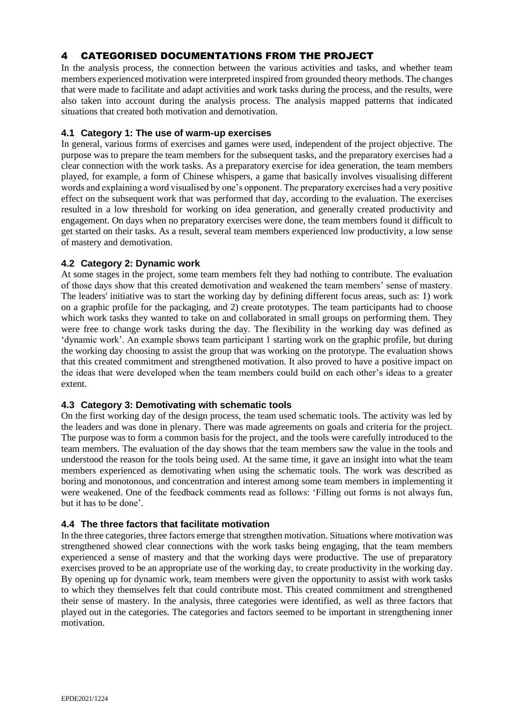# 4 CATEGORISED DOCUMENTATIONS FROM THE PROJECT

In the analysis process, the connection between the various activities and tasks, and whether team members experienced motivation were interpreted inspired from grounded theory methods. The changes that were made to facilitate and adapt activities and work tasks during the process, and the results, were also taken into account during the analysis process. The analysis mapped patterns that indicated situations that created both motivation and demotivation.

### **4.1 Category 1: The use of warm-up exercises**

In general, various forms of exercises and games were used, independent of the project objective. The purpose was to prepare the team members for the subsequent tasks, and the preparatory exercises had a clear connection with the work tasks. As a preparatory exercise for idea generation, the team members played, for example, a form of Chinese whispers, a game that basically involves visualising different words and explaining a word visualised by one's opponent. The preparatory exercises had a very positive effect on the subsequent work that was performed that day, according to the evaluation. The exercises resulted in a low threshold for working on idea generation, and generally created productivity and engagement. On days when no preparatory exercises were done, the team members found it difficult to get started on their tasks. As a result, several team members experienced low productivity, a low sense of mastery and demotivation.

### **4.2 Category 2: Dynamic work**

At some stages in the project, some team members felt they had nothing to contribute. The evaluation of those days show that this created demotivation and weakened the team members' sense of mastery. The leaders' initiative was to start the working day by defining different focus areas, such as: 1) work on a graphic profile for the packaging, and 2) create prototypes. The team participants had to choose which work tasks they wanted to take on and collaborated in small groups on performing them. They were free to change work tasks during the day. The flexibility in the working day was defined as 'dynamic work'. An example shows team participant 1 starting work on the graphic profile, but during the working day choosing to assist the group that was working on the prototype. The evaluation shows that this created commitment and strengthened motivation. It also proved to have a positive impact on the ideas that were developed when the team members could build on each other's ideas to a greater extent.

#### **4.3 Category 3: Demotivating with schematic tools**

On the first working day of the design process, the team used schematic tools. The activity was led by the leaders and was done in plenary. There was made agreements on goals and criteria for the project. The purpose was to form a common basis for the project, and the tools were carefully introduced to the team members. The evaluation of the day shows that the team members saw the value in the tools and understood the reason for the tools being used. At the same time, it gave an insight into what the team members experienced as demotivating when using the schematic tools. The work was described as boring and monotonous, and concentration and interest among some team members in implementing it were weakened. One of the feedback comments read as follows: 'Filling out forms is not always fun, but it has to be done'.

# **4.4 The three factors that facilitate motivation**

In the three categories, three factors emerge that strengthen motivation. Situations where motivation was strengthened showed clear connections with the work tasks being engaging, that the team members experienced a sense of mastery and that the working days were productive. The use of preparatory exercises proved to be an appropriate use of the working day, to create productivity in the working day. By opening up for dynamic work, team members were given the opportunity to assist with work tasks to which they themselves felt that could contribute most. This created commitment and strengthened their sense of mastery. In the analysis, three categories were identified, as well as three factors that played out in the categories. The categories and factors seemed to be important in strengthening inner motivation.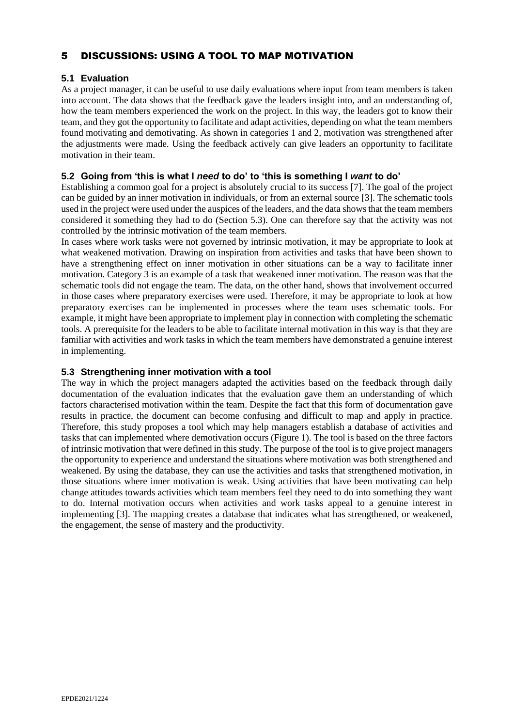# 5 DISCUSSIONS: USING A TOOL TO MAP MOTIVATION

# **5.1 Evaluation**

As a project manager, it can be useful to use daily evaluations where input from team members is taken into account. The data shows that the feedback gave the leaders insight into, and an understanding of, how the team members experienced the work on the project. In this way, the leaders got to know their team, and they got the opportunity to facilitate and adapt activities, depending on what the team members found motivating and demotivating. As shown in categories 1 and 2, motivation was strengthened after the adjustments were made. Using the feedback actively can give leaders an opportunity to facilitate motivation in their team.

# **5.2 Going from 'this is what I** *need* **to do' to 'this is something I** *want* **to do'**

Establishing a common goal for a project is absolutely crucial to its success [7]. The goal of the project can be guided by an inner motivation in individuals, or from an external source [3]. The schematic tools used in the project were used under the auspices of the leaders, and the data shows that the team members considered it something they had to do (Section 5.3). One can therefore say that the activity was not controlled by the intrinsic motivation of the team members.

In cases where work tasks were not governed by intrinsic motivation, it may be appropriate to look at what weakened motivation. Drawing on inspiration from activities and tasks that have been shown to have a strengthening effect on inner motivation in other situations can be a way to facilitate inner motivation. Category 3 is an example of a task that weakened inner motivation. The reason was that the schematic tools did not engage the team. The data, on the other hand, shows that involvement occurred in those cases where preparatory exercises were used. Therefore, it may be appropriate to look at how preparatory exercises can be implemented in processes where the team uses schematic tools. For example, it might have been appropriate to implement play in connection with completing the schematic tools. A prerequisite for the leaders to be able to facilitate internal motivation in this way is that they are familiar with activities and work tasks in which the team members have demonstrated a genuine interest in implementing.

# **5.3 Strengthening inner motivation with a tool**

The way in which the project managers adapted the activities based on the feedback through daily documentation of the evaluation indicates that the evaluation gave them an understanding of which factors characterised motivation within the team. Despite the fact that this form of documentation gave results in practice, the document can become confusing and difficult to map and apply in practice. Therefore, this study proposes a tool which may help managers establish a database of activities and tasks that can implemented where demotivation occurs (Figure 1). The tool is based on the three factors of intrinsic motivation that were defined in this study. The purpose of the tool is to give project managers the opportunity to experience and understand the situations where motivation was both strengthened and weakened. By using the database, they can use the activities and tasks that strengthened motivation, in those situations where inner motivation is weak. Using activities that have been motivating can help change attitudes towards activities which team members feel they need to do into something they want to do. Internal motivation occurs when activities and work tasks appeal to a genuine interest in implementing [3]. The mapping creates a database that indicates what has strengthened, or weakened, the engagement, the sense of mastery and the productivity.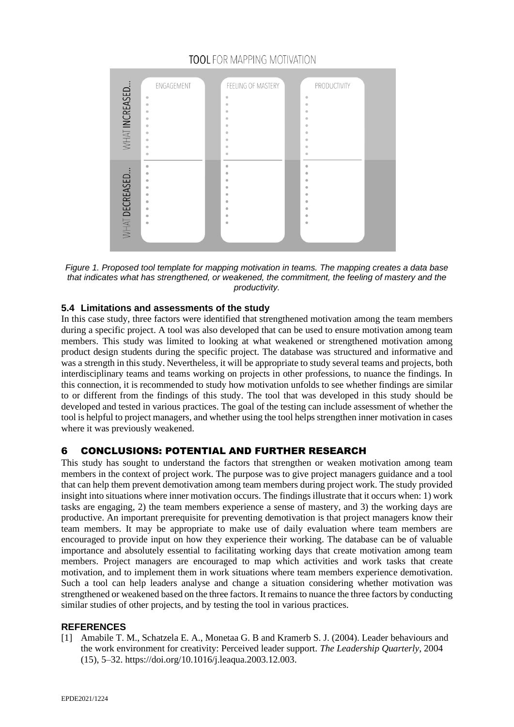

# **TOOL** FOR MAPPING MOTIVATION

*Figure 1. Proposed tool template for mapping motivation in teams. The mapping creates a data base that indicates what has strengthened, or weakened, the commitment, the feeling of mastery and the productivity.*

# **5.4 Limitations and assessments of the study**

In this case study, three factors were identified that strengthened motivation among the team members during a specific project. A tool was also developed that can be used to ensure motivation among team members. This study was limited to looking at what weakened or strengthened motivation among product design students during the specific project. The database was structured and informative and was a strength in this study. Nevertheless, it will be appropriate to study several teams and projects, both interdisciplinary teams and teams working on projects in other professions, to nuance the findings. In this connection, it is recommended to study how motivation unfolds to see whether findings are similar to or different from the findings of this study. The tool that was developed in this study should be developed and tested in various practices. The goal of the testing can include assessment of whether the tool is helpful to project managers, and whether using the tool helps strengthen inner motivation in cases where it was previously weakened.

# 6 CONCLUSIONS: POTENTIAL AND FURTHER RESEARCH

This study has sought to understand the factors that strengthen or weaken motivation among team members in the context of project work. The purpose was to give project managers guidance and a tool that can help them prevent demotivation among team members during project work. The study provided insight into situations where inner motivation occurs. The findings illustrate that it occurs when: 1) work tasks are engaging, 2) the team members experience a sense of mastery, and 3) the working days are productive. An important prerequisite for preventing demotivation is that project managers know their team members. It may be appropriate to make use of daily evaluation where team members are encouraged to provide input on how they experience their working. The database can be of valuable importance and absolutely essential to facilitating working days that create motivation among team members. Project managers are encouraged to map which activities and work tasks that create motivation, and to implement them in work situations where team members experience demotivation. Such a tool can help leaders analyse and change a situation considering whether motivation was strengthened or weakened based on the three factors. It remains to nuance the three factors by conducting similar studies of other projects, and by testing the tool in various practices.

# **REFERENCES**

[1] Amabile T. M., Schatzela E. A., Monetaa G. B and Kramerb S. J. (2004). Leader behaviours and the work environment for creativity: Perceived leader support. *The Leadership Quarterly*, 2004 (15), 5–32. [https://doi.org/10.1016/j.leaqua.2003.12.003.](https://doi.org/10.1016/j.leaqua.2003.12.003)